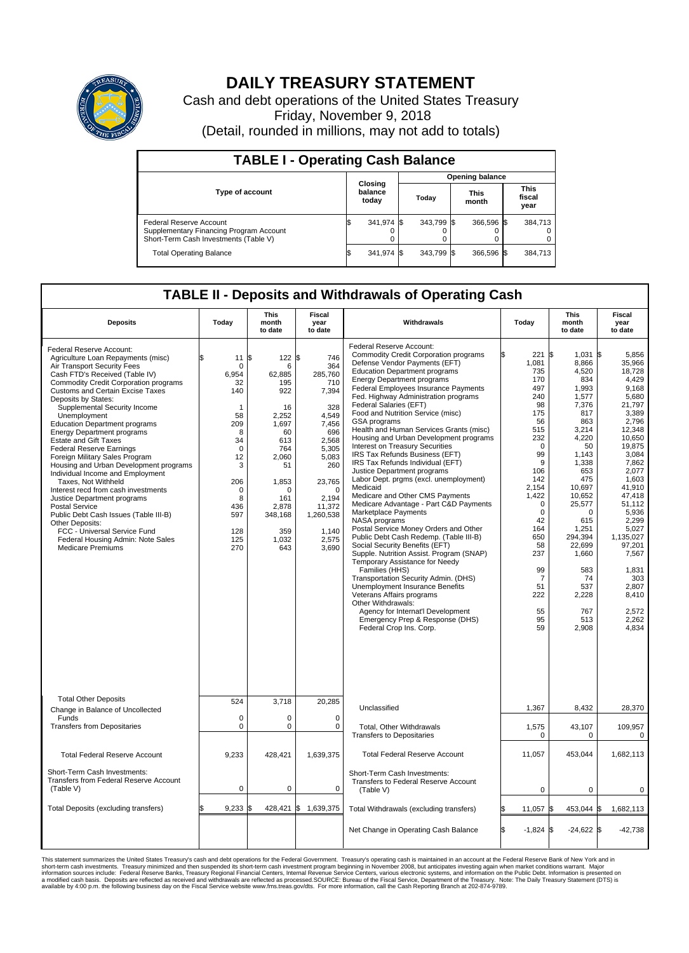

## **DAILY TREASURY STATEMENT**

Cash and debt operations of the United States Treasury Friday, November 9, 2018 (Detail, rounded in millions, may not add to totals)

| <b>TABLE I - Operating Cash Balance</b>                                                                     |  |                             |  |                        |  |                      |  |                               |  |  |  |
|-------------------------------------------------------------------------------------------------------------|--|-----------------------------|--|------------------------|--|----------------------|--|-------------------------------|--|--|--|
|                                                                                                             |  | Closing<br>balance<br>today |  | <b>Opening balance</b> |  |                      |  |                               |  |  |  |
| <b>Type of account</b>                                                                                      |  |                             |  | Today                  |  | <b>This</b><br>month |  | <b>This</b><br>fiscal<br>year |  |  |  |
| Federal Reserve Account<br>Supplementary Financing Program Account<br>Short-Term Cash Investments (Table V) |  | 341,974 \$                  |  | 343.799 \$             |  | 366.596 \$           |  | 384,713                       |  |  |  |
| <b>Total Operating Balance</b>                                                                              |  | 341,974 \$                  |  | 343.799 \$             |  | 366,596 \$           |  | 384,713                       |  |  |  |

## **TABLE II - Deposits and Withdrawals of Operating Cash**

| <b>Deposits</b>                                                                                                                                                                                                                                                                                                                                                                                                                                                                                                                                                                                                                                                                                                                                                                                                                                      | Today                                                                                                                                                     | This<br>month<br>to date                                                                                                                                           | <b>Fiscal</b><br>year<br>to date                                                                                                                                                         | Withdrawals                                                                                                                                                                                                                                                                                                                                                                                                                                                                                                                                                                                                                                                                                                                                                                                                                                                                                                                                                                                                                                                                                                                                                                                                                 | Today                                                                                                                                                                          | <b>This</b><br>month<br>to date                                                                                                                                                                                                                                                                                                              | Fiscal<br>year<br>to date                                                                                                                                                                                                                                                                                       |
|------------------------------------------------------------------------------------------------------------------------------------------------------------------------------------------------------------------------------------------------------------------------------------------------------------------------------------------------------------------------------------------------------------------------------------------------------------------------------------------------------------------------------------------------------------------------------------------------------------------------------------------------------------------------------------------------------------------------------------------------------------------------------------------------------------------------------------------------------|-----------------------------------------------------------------------------------------------------------------------------------------------------------|--------------------------------------------------------------------------------------------------------------------------------------------------------------------|------------------------------------------------------------------------------------------------------------------------------------------------------------------------------------------|-----------------------------------------------------------------------------------------------------------------------------------------------------------------------------------------------------------------------------------------------------------------------------------------------------------------------------------------------------------------------------------------------------------------------------------------------------------------------------------------------------------------------------------------------------------------------------------------------------------------------------------------------------------------------------------------------------------------------------------------------------------------------------------------------------------------------------------------------------------------------------------------------------------------------------------------------------------------------------------------------------------------------------------------------------------------------------------------------------------------------------------------------------------------------------------------------------------------------------|--------------------------------------------------------------------------------------------------------------------------------------------------------------------------------|----------------------------------------------------------------------------------------------------------------------------------------------------------------------------------------------------------------------------------------------------------------------------------------------------------------------------------------------|-----------------------------------------------------------------------------------------------------------------------------------------------------------------------------------------------------------------------------------------------------------------------------------------------------------------|
| Federal Reserve Account:<br>Agriculture Loan Repayments (misc)<br>Air Transport Security Fees<br>Cash FTD's Received (Table IV)<br><b>Commodity Credit Corporation programs</b><br><b>Customs and Certain Excise Taxes</b><br>Deposits by States:<br>Supplemental Security Income<br>Unemployment<br><b>Education Department programs</b><br><b>Energy Department programs</b><br><b>Estate and Gift Taxes</b><br><b>Federal Reserve Earnings</b><br>Foreign Military Sales Program<br>Housing and Urban Development programs<br>Individual Income and Employment<br>Taxes. Not Withheld<br>Interest recd from cash investments<br>Justice Department programs<br><b>Postal Service</b><br>Public Debt Cash Issues (Table III-B)<br>Other Deposits:<br>FCC - Universal Service Fund<br>Federal Housing Admin: Note Sales<br><b>Medicare Premiums</b> | 11<br>$\mathbf 0$<br>6,954<br>32<br>140<br>1<br>58<br>209<br>8<br>34<br>$\Omega$<br>12<br>3<br>206<br>$\mathbf 0$<br>8<br>436<br>597<br>128<br>125<br>270 | 122S<br>\$<br>6<br>62,885<br>195<br>922<br>16<br>2,252<br>1,697<br>60<br>613<br>764<br>2.060<br>51<br>1,853<br>O<br>161<br>2,878<br>348,168<br>359<br>1,032<br>643 | 746<br>364<br>285,760<br>710<br>7,394<br>328<br>4.549<br>7,456<br>696<br>2,568<br>5,305<br>5,083<br>260<br>23,765<br>$\Omega$<br>2,194<br>11,372<br>1,260,538<br>1,140<br>2,575<br>3,690 | Federal Reserve Account:<br><b>Commodity Credit Corporation programs</b><br>Defense Vendor Payments (EFT)<br><b>Education Department programs</b><br><b>Energy Department programs</b><br><b>Federal Employees Insurance Payments</b><br>Fed. Highway Administration programs<br>Federal Salaries (EFT)<br>Food and Nutrition Service (misc)<br>GSA programs<br>Health and Human Services Grants (misc)<br>Housing and Urban Development programs<br>Interest on Treasury Securities<br>IRS Tax Refunds Business (EFT)<br>IRS Tax Refunds Individual (EFT)<br>Justice Department programs<br>Labor Dept. prgms (excl. unemployment)<br>Medicaid<br>Medicare and Other CMS Payments<br>Medicare Advantage - Part C&D Payments<br>Marketplace Payments<br>NASA programs<br>Postal Service Money Orders and Other<br>Public Debt Cash Redemp. (Table III-B)<br>Social Security Benefits (EFT)<br>Supple. Nutrition Assist. Program (SNAP)<br>Temporary Assistance for Needy<br>Families (HHS)<br>Transportation Security Admin. (DHS)<br>Unemployment Insurance Benefits<br>Veterans Affairs programs<br>Other Withdrawals:<br>Agency for Internat'l Development<br>Emergency Prep & Response (DHS)<br>Federal Crop Ins. Corp. | 1,081<br>735<br>170<br>497<br>240<br>98<br>175<br>56<br>515<br>232<br>99<br>106<br>142<br>2,154<br>1,422<br>42<br>164<br>650<br>58<br>237<br>99<br>51<br>222<br>55<br>95<br>59 | 221 \$<br>1,031<br>8.866<br>4,520<br>834<br>1.993<br>1,577<br>7,376<br>817<br>863<br>3,214<br>4,220<br>$\mathbf 0$<br>50<br>1,143<br>9<br>1,338<br>653<br>475<br>10,697<br>10,652<br>25,577<br>$\mathbf 0$<br>$\mathbf 0$<br>$\Omega$<br>615<br>1,251<br>294,394<br>22,699<br>1,660<br>583<br>74<br>7<br>537<br>2,228<br>767<br>513<br>2,908 | 1\$<br>5,856<br>35,966<br>18.728<br>4,429<br>9,168<br>5,680<br>21.797<br>3,389<br>2.796<br>12,348<br>10,650<br>19,875<br>3,084<br>7.862<br>2,077<br>1,603<br>41.910<br>47.418<br>51,112<br>5,936<br>2.299<br>5,027<br>1,135,027<br>97,201<br>7,567<br>1,831<br>303<br>2,807<br>8.410<br>2,572<br>2.262<br>4,834 |
| <b>Total Other Deposits</b><br>Change in Balance of Uncollected                                                                                                                                                                                                                                                                                                                                                                                                                                                                                                                                                                                                                                                                                                                                                                                      | 524                                                                                                                                                       | 3,718                                                                                                                                                              | 20,285                                                                                                                                                                                   | Unclassified                                                                                                                                                                                                                                                                                                                                                                                                                                                                                                                                                                                                                                                                                                                                                                                                                                                                                                                                                                                                                                                                                                                                                                                                                | 1,367                                                                                                                                                                          | 8,432                                                                                                                                                                                                                                                                                                                                        | 28,370                                                                                                                                                                                                                                                                                                          |
| Funds<br><b>Transfers from Depositaries</b>                                                                                                                                                                                                                                                                                                                                                                                                                                                                                                                                                                                                                                                                                                                                                                                                          | $\mathbf 0$<br>0                                                                                                                                          | $\Omega$<br>0                                                                                                                                                      | $\mathbf 0$<br>0                                                                                                                                                                         | Total, Other Withdrawals<br><b>Transfers to Depositaries</b>                                                                                                                                                                                                                                                                                                                                                                                                                                                                                                                                                                                                                                                                                                                                                                                                                                                                                                                                                                                                                                                                                                                                                                | 1,575                                                                                                                                                                          | 43,107<br>$\mathbf 0$<br>0                                                                                                                                                                                                                                                                                                                   | 109,957<br>$\mathbf 0$                                                                                                                                                                                                                                                                                          |
| <b>Total Federal Reserve Account</b>                                                                                                                                                                                                                                                                                                                                                                                                                                                                                                                                                                                                                                                                                                                                                                                                                 | 9,233                                                                                                                                                     | 428,421                                                                                                                                                            | 1,639,375                                                                                                                                                                                | <b>Total Federal Reserve Account</b>                                                                                                                                                                                                                                                                                                                                                                                                                                                                                                                                                                                                                                                                                                                                                                                                                                                                                                                                                                                                                                                                                                                                                                                        | 11,057                                                                                                                                                                         | 453,044                                                                                                                                                                                                                                                                                                                                      | 1,682,113                                                                                                                                                                                                                                                                                                       |
| Short-Term Cash Investments:<br>Transfers from Federal Reserve Account<br>(Table V)                                                                                                                                                                                                                                                                                                                                                                                                                                                                                                                                                                                                                                                                                                                                                                  | $\pmb{0}$                                                                                                                                                 | 0                                                                                                                                                                  | $\mathbf 0$                                                                                                                                                                              | Short-Term Cash Investments:<br><b>Transfers to Federal Reserve Account</b><br>(Table V)                                                                                                                                                                                                                                                                                                                                                                                                                                                                                                                                                                                                                                                                                                                                                                                                                                                                                                                                                                                                                                                                                                                                    |                                                                                                                                                                                | $\mathbf 0$<br>$\mathbf 0$                                                                                                                                                                                                                                                                                                                   | $\mathbf 0$                                                                                                                                                                                                                                                                                                     |
| Total Deposits (excluding transfers)                                                                                                                                                                                                                                                                                                                                                                                                                                                                                                                                                                                                                                                                                                                                                                                                                 | 9,233<br>\$                                                                                                                                               | 428,421<br>ß.                                                                                                                                                      | \$1,639,375                                                                                                                                                                              | Total Withdrawals (excluding transfers)                                                                                                                                                                                                                                                                                                                                                                                                                                                                                                                                                                                                                                                                                                                                                                                                                                                                                                                                                                                                                                                                                                                                                                                     | 11,057 \$<br>\$                                                                                                                                                                | 453,044 \$                                                                                                                                                                                                                                                                                                                                   | 1,682,113                                                                                                                                                                                                                                                                                                       |
|                                                                                                                                                                                                                                                                                                                                                                                                                                                                                                                                                                                                                                                                                                                                                                                                                                                      |                                                                                                                                                           |                                                                                                                                                                    |                                                                                                                                                                                          | Net Change in Operating Cash Balance                                                                                                                                                                                                                                                                                                                                                                                                                                                                                                                                                                                                                                                                                                                                                                                                                                                                                                                                                                                                                                                                                                                                                                                        | l\$<br>$-1,824$ \$                                                                                                                                                             | $-24,622$ \$                                                                                                                                                                                                                                                                                                                                 | $-42,738$                                                                                                                                                                                                                                                                                                       |

This statement summarizes the United States Treasury's cash and debt operations for the Federal Government. Treasury soperating in November 2008, but anticiarded in a cocount at the Federal Reserve Bank of New York and in<br>